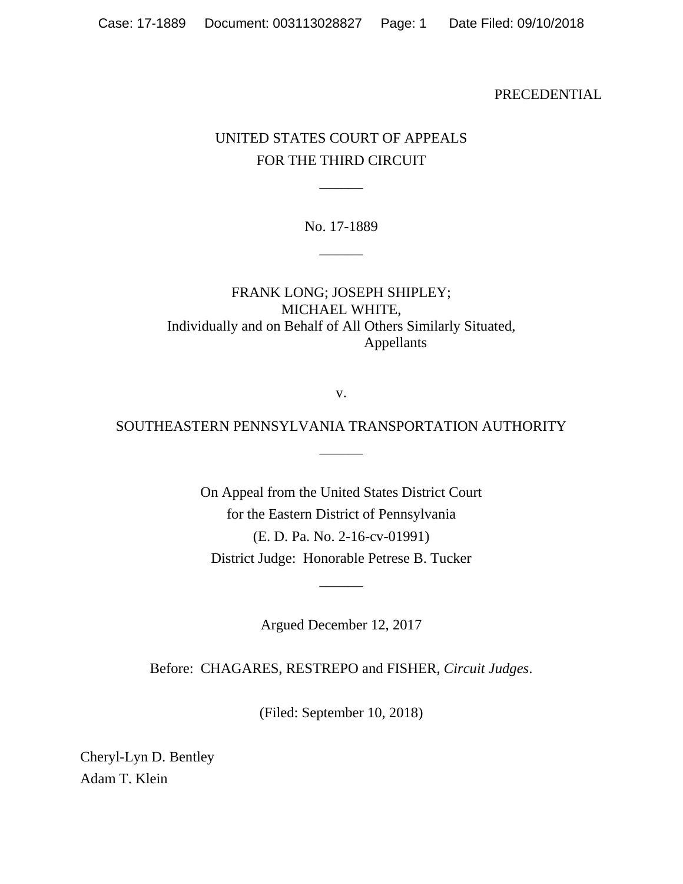PRECEDENTIAL

## UNITED STATES COURT OF APPEALS FOR THE THIRD CIRCUIT

 $\overline{\phantom{a}}$ 

No. 17-1889

 $\overline{\phantom{a}}$ 

FRANK LONG; JOSEPH SHIPLEY; MICHAEL WHITE, Individually and on Behalf of All Others Similarly Situated, Appellants

v.

# SOUTHEASTERN PENNSYLVANIA TRANSPORTATION AUTHORITY  $\overline{\phantom{a}}$

On Appeal from the United States District Court for the Eastern District of Pennsylvania (E. D. Pa. No. 2-16-cv-01991) District Judge: Honorable Petrese B. Tucker

Argued December 12, 2017

 $\overline{\phantom{a}}$ 

Before: CHAGARES, RESTREPO and FISHER, *Circuit Judges*.

(Filed: September 10, 2018)

Cheryl-Lyn D. Bentley Adam T. Klein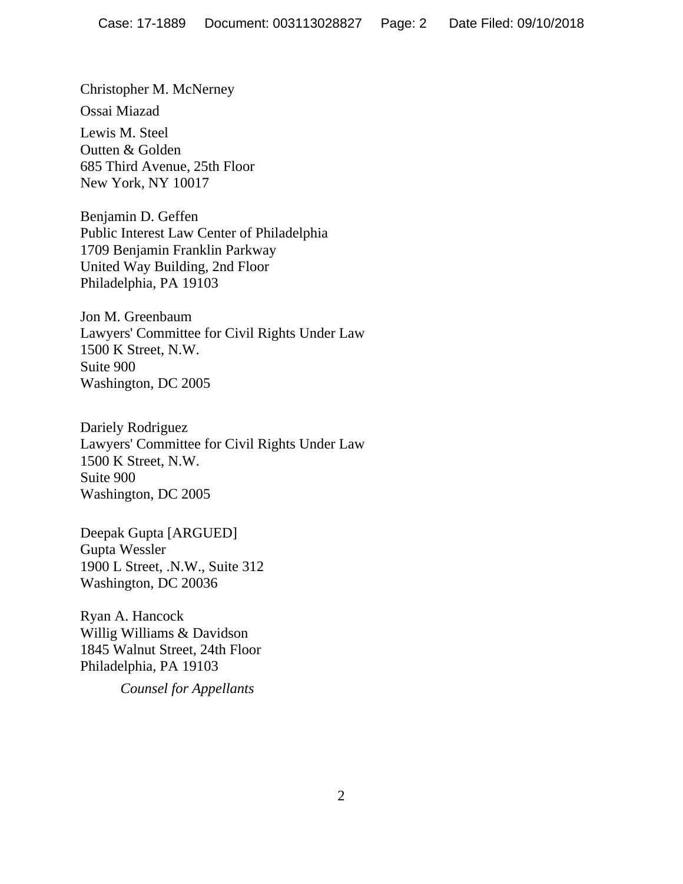Christopher M. McNerney Ossai Miazad Lewis M. Steel Outten & Golden 685 Third Avenue, 25th Floor New York, NY 10017

Benjamin D. Geffen Public Interest Law Center of Philadelphia 1709 Benjamin Franklin Parkway United Way Building, 2nd Floor Philadelphia, PA 19103

Jon M. Greenbaum Lawyers' Committee for Civil Rights Under Law 1500 K Street, N.W. Suite 900 Washington, DC 2005

Dariely Rodriguez Lawyers' Committee for Civil Rights Under Law 1500 K Street, N.W. Suite 900 Washington, DC 2005

Deepak Gupta [ARGUED] Gupta Wessler 1900 L Street, .N.W., Suite 312 Washington, DC 20036

Ryan A. Hancock Willig Williams & Davidson 1845 Walnut Street, 24th Floor Philadelphia, PA 19103

*Counsel for Appellants*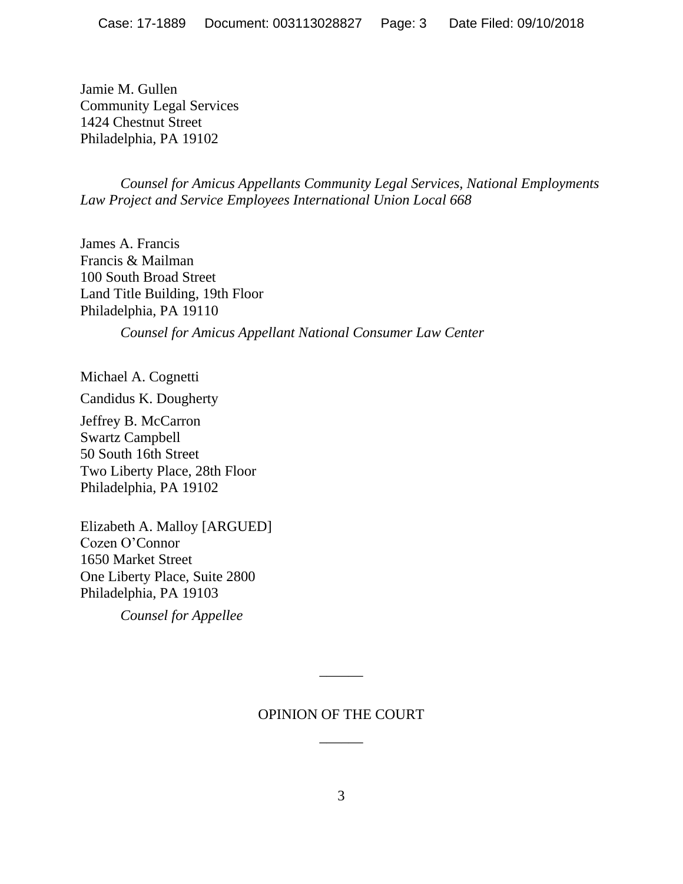Jamie M. Gullen Community Legal Services 1424 Chestnut Street Philadelphia, PA 19102

*Counsel for Amicus Appellants Community Legal Services, National Employments Law Project and Service Employees International Union Local 668*

James A. Francis Francis & Mailman 100 South Broad Street Land Title Building, 19th Floor Philadelphia, PA 19110

*Counsel for Amicus Appellant National Consumer Law Center*

Michael A. Cognetti

Candidus K. Dougherty

Jeffrey B. McCarron Swartz Campbell 50 South 16th Street Two Liberty Place, 28th Floor Philadelphia, PA 19102

Elizabeth A. Malloy [ARGUED] Cozen O'Connor 1650 Market Street One Liberty Place, Suite 2800 Philadelphia, PA 19103

*Counsel for Appellee*

## OPINION OF THE COURT  $\overline{\phantom{a}}$

 $\overline{\phantom{a}}$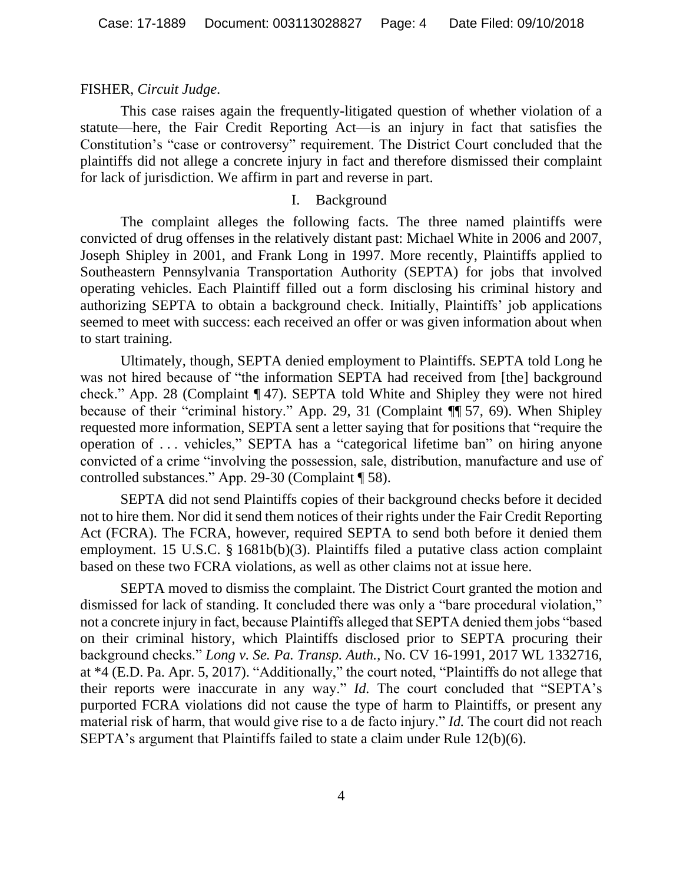## FISHER, *Circuit Judge*.

This case raises again the frequently-litigated question of whether violation of a statute—here, the Fair Credit Reporting Act—is an injury in fact that satisfies the Constitution's "case or controversy" requirement. The District Court concluded that the plaintiffs did not allege a concrete injury in fact and therefore dismissed their complaint for lack of jurisdiction. We affirm in part and reverse in part.

## I. Background

The complaint alleges the following facts. The three named plaintiffs were convicted of drug offenses in the relatively distant past: Michael White in 2006 and 2007, Joseph Shipley in 2001, and Frank Long in 1997. More recently, Plaintiffs applied to Southeastern Pennsylvania Transportation Authority (SEPTA) for jobs that involved operating vehicles. Each Plaintiff filled out a form disclosing his criminal history and authorizing SEPTA to obtain a background check. Initially, Plaintiffs' job applications seemed to meet with success: each received an offer or was given information about when to start training.

Ultimately, though, SEPTA denied employment to Plaintiffs. SEPTA told Long he was not hired because of "the information SEPTA had received from [the] background check." App. 28 (Complaint ¶ 47). SEPTA told White and Shipley they were not hired because of their "criminal history." App. 29, 31 (Complaint ¶¶ 57, 69). When Shipley requested more information, SEPTA sent a letter saying that for positions that "require the operation of . . . vehicles," SEPTA has a "categorical lifetime ban" on hiring anyone convicted of a crime "involving the possession, sale, distribution, manufacture and use of controlled substances." App. 29-30 (Complaint ¶ 58).

SEPTA did not send Plaintiffs copies of their background checks before it decided not to hire them. Nor did it send them notices of their rights under the Fair Credit Reporting Act (FCRA). The FCRA, however, required SEPTA to send both before it denied them employment. 15 U.S.C. § 1681b(b)(3). Plaintiffs filed a putative class action complaint based on these two FCRA violations, as well as other claims not at issue here.

SEPTA moved to dismiss the complaint. The District Court granted the motion and dismissed for lack of standing. It concluded there was only a "bare procedural violation," not a concrete injury in fact, because Plaintiffs alleged that SEPTA denied them jobs "based on their criminal history, which Plaintiffs disclosed prior to SEPTA procuring their background checks." *Long v. Se. Pa. Transp. Auth.*, No. CV 16-1991, 2017 WL 1332716, at \*4 (E.D. Pa. Apr. 5, 2017). "Additionally," the court noted, "Plaintiffs do not allege that their reports were inaccurate in any way." *Id.* The court concluded that "SEPTA's purported FCRA violations did not cause the type of harm to Plaintiffs, or present any material risk of harm, that would give rise to a de facto injury." *Id.* The court did not reach SEPTA's argument that Plaintiffs failed to state a claim under Rule 12(b)(6).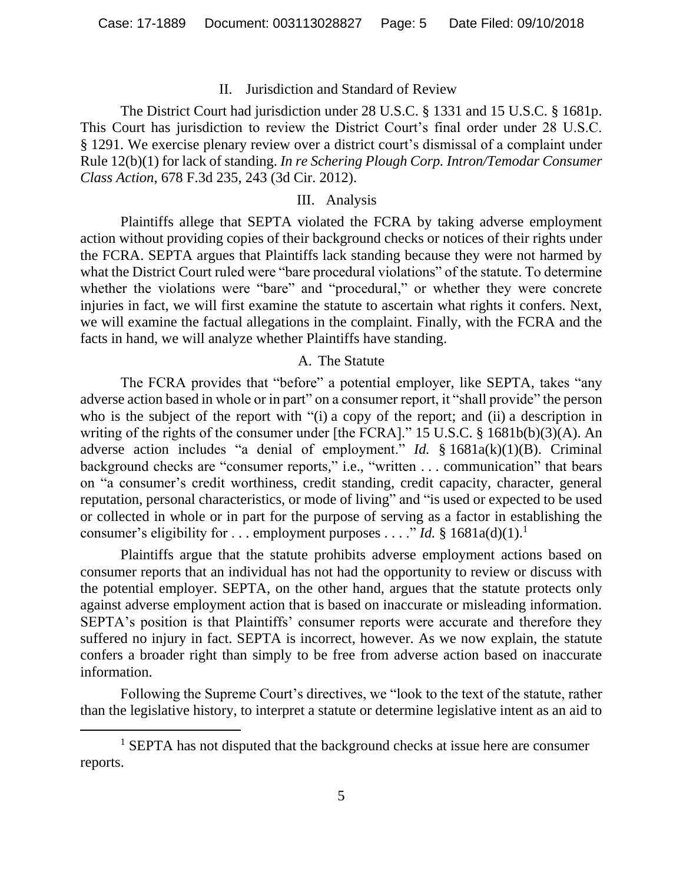### II. Jurisdiction and Standard of Review

The District Court had jurisdiction under 28 U.S.C. § 1331 and 15 U.S.C. § 1681p. This Court has jurisdiction to review the District Court's final order under 28 U.S.C. § 1291. We exercise plenary review over a district court's dismissal of a complaint under Rule 12(b)(1) for lack of standing. *In re Schering Plough Corp. Intron/Temodar Consumer Class Action*, 678 F.3d 235, 243 (3d Cir. 2012).

### III. Analysis

Plaintiffs allege that SEPTA violated the FCRA by taking adverse employment action without providing copies of their background checks or notices of their rights under the FCRA. SEPTA argues that Plaintiffs lack standing because they were not harmed by what the District Court ruled were "bare procedural violations" of the statute. To determine whether the violations were "bare" and "procedural," or whether they were concrete injuries in fact, we will first examine the statute to ascertain what rights it confers. Next, we will examine the factual allegations in the complaint. Finally, with the FCRA and the facts in hand, we will analyze whether Plaintiffs have standing.

#### A. The Statute

The FCRA provides that "before" a potential employer, like SEPTA, takes "any adverse action based in whole or in part" on a consumer report, it "shall provide" the person who is the subject of the report with "(i) a copy of the report; and (ii) a description in writing of the rights of the consumer under [the FCRA]." 15 U.S.C. § 1681b(b)(3)(A). An adverse action includes "a denial of employment." *Id.* § 1681a(k)(1)(B). Criminal background checks are "consumer reports," i.e., "written . . . communication" that bears on "a consumer's credit worthiness, credit standing, credit capacity, character, general reputation, personal characteristics, or mode of living" and "is used or expected to be used or collected in whole or in part for the purpose of serving as a factor in establishing the consumer's eligibility for . . . employment purposes . . . ." *Id.* § 1681a(d)(1).<sup>1</sup>

Plaintiffs argue that the statute prohibits adverse employment actions based on consumer reports that an individual has not had the opportunity to review or discuss with the potential employer. SEPTA, on the other hand, argues that the statute protects only against adverse employment action that is based on inaccurate or misleading information. SEPTA's position is that Plaintiffs' consumer reports were accurate and therefore they suffered no injury in fact. SEPTA is incorrect, however. As we now explain, the statute confers a broader right than simply to be free from adverse action based on inaccurate information.

Following the Supreme Court's directives, we "look to the text of the statute, rather than the legislative history, to interpret a statute or determine legislative intent as an aid to

 $1$  SEPTA has not disputed that the background checks at issue here are consumer reports.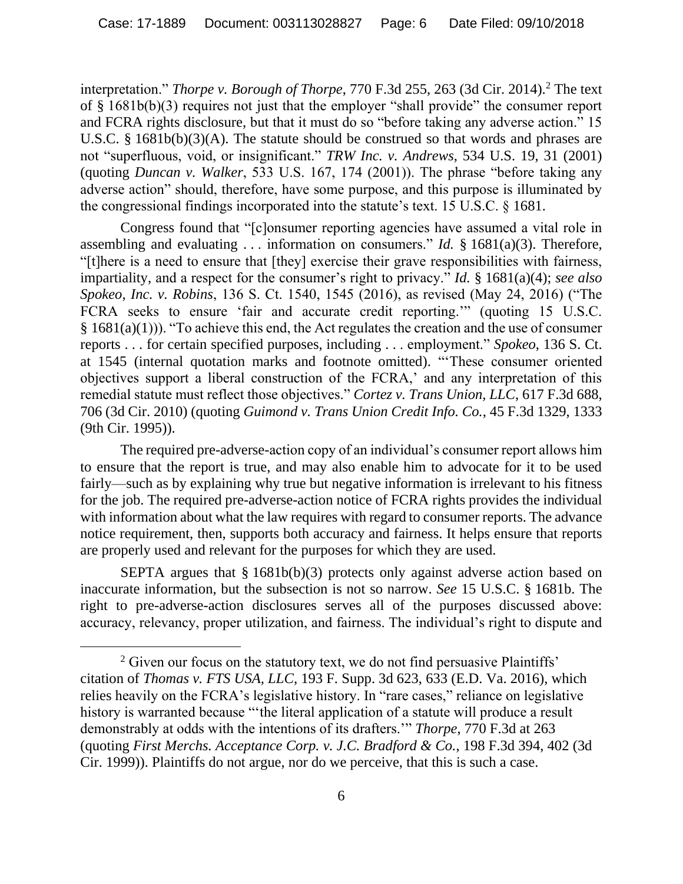interpretation." *Thorpe v. Borough of Thorpe*, 770 F.3d 255, 263 (3d Cir. 2014).<sup>2</sup> The text of § 1681b(b)(3) requires not just that the employer "shall provide" the consumer report and FCRA rights disclosure, but that it must do so "before taking any adverse action." 15 U.S.C. § 1681b(b)(3)(A). The statute should be construed so that words and phrases are not "superfluous, void, or insignificant." *TRW Inc. v. Andrews*, 534 U.S. 19, 31 (2001) (quoting *Duncan v. Walker*, 533 U.S. 167, 174 (2001)). The phrase "before taking any adverse action" should, therefore, have some purpose, and this purpose is illuminated by the congressional findings incorporated into the statute's text. 15 U.S.C. § 1681.

Congress found that "[c]onsumer reporting agencies have assumed a vital role in assembling and evaluating . . . information on consumers." *Id.* § 1681(a)(3). Therefore, "[t]here is a need to ensure that [they] exercise their grave responsibilities with fairness, impartiality, and a respect for the consumer's right to privacy." *Id.* § 1681(a)(4); *see also Spokeo, Inc. v. Robins*, 136 S. Ct. 1540, 1545 (2016), as revised (May 24, 2016) ("The FCRA seeks to ensure 'fair and accurate credit reporting.'" (quoting 15 U.S.C.  $§ 1681(a)(1))$ . "To achieve this end, the Act regulates the creation and the use of consumer reports . . . for certain specified purposes, including . . . employment." *Spokeo*, 136 S. Ct. at 1545 (internal quotation marks and footnote omitted). "'These consumer oriented objectives support a liberal construction of the FCRA,' and any interpretation of this remedial statute must reflect those objectives." *Cortez v. Trans Union, LLC*, 617 F.3d 688, 706 (3d Cir. 2010) (quoting *Guimond v. Trans Union Credit Info. Co.*, 45 F.3d 1329, 1333 (9th Cir. 1995)).

The required pre-adverse-action copy of an individual's consumer report allows him to ensure that the report is true, and may also enable him to advocate for it to be used fairly—such as by explaining why true but negative information is irrelevant to his fitness for the job. The required pre-adverse-action notice of FCRA rights provides the individual with information about what the law requires with regard to consumer reports. The advance notice requirement, then, supports both accuracy and fairness. It helps ensure that reports are properly used and relevant for the purposes for which they are used.

SEPTA argues that § 1681b(b)(3) protects only against adverse action based on inaccurate information, but the subsection is not so narrow. *See* 15 U.S.C. § 1681b. The right to pre-adverse-action disclosures serves all of the purposes discussed above: accuracy, relevancy, proper utilization, and fairness. The individual's right to dispute and

<sup>&</sup>lt;sup>2</sup> Given our focus on the statutory text, we do not find persuasive Plaintiffs' citation of *Thomas v. FTS USA, LLC*, 193 F. Supp. 3d 623, 633 (E.D. Va. 2016), which relies heavily on the FCRA's legislative history. In "rare cases," reliance on legislative history is warranted because "'the literal application of a statute will produce a result demonstrably at odds with the intentions of its drafters.'" *Thorpe*, 770 F.3d at 263 (quoting *First Merchs. Acceptance Corp. v. J.C. Bradford & Co.*, 198 F.3d 394, 402 (3d Cir. 1999)). Plaintiffs do not argue, nor do we perceive, that this is such a case.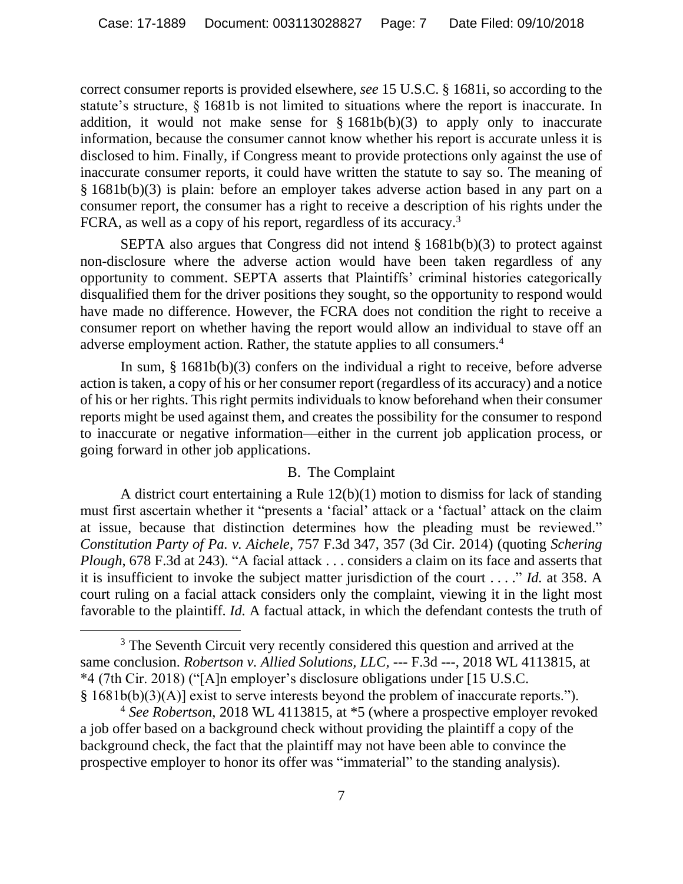correct consumer reports is provided elsewhere, *see* 15 U.S.C. § 1681i, so according to the statute's structure, § 1681b is not limited to situations where the report is inaccurate. In addition, it would not make sense for § 1681b(b)(3) to apply only to inaccurate information, because the consumer cannot know whether his report is accurate unless it is disclosed to him. Finally, if Congress meant to provide protections only against the use of inaccurate consumer reports, it could have written the statute to say so. The meaning of § 1681b(b)(3) is plain: before an employer takes adverse action based in any part on a consumer report, the consumer has a right to receive a description of his rights under the FCRA, as well as a copy of his report, regardless of its accuracy.<sup>3</sup>

SEPTA also argues that Congress did not intend § 1681b(b)(3) to protect against non-disclosure where the adverse action would have been taken regardless of any opportunity to comment. SEPTA asserts that Plaintiffs' criminal histories categorically disqualified them for the driver positions they sought, so the opportunity to respond would have made no difference. However, the FCRA does not condition the right to receive a consumer report on whether having the report would allow an individual to stave off an adverse employment action. Rather, the statute applies to all consumers. 4

In sum, § 1681b(b)(3) confers on the individual a right to receive, before adverse action is taken, a copy of his or her consumer report (regardless of its accuracy) and a notice of his or her rights. This right permits individuals to know beforehand when their consumer reports might be used against them, and creates the possibility for the consumer to respond to inaccurate or negative information—either in the current job application process, or going forward in other job applications.

## B. The Complaint

A district court entertaining a Rule 12(b)(1) motion to dismiss for lack of standing must first ascertain whether it "presents a 'facial' attack or a 'factual' attack on the claim at issue, because that distinction determines how the pleading must be reviewed." *Constitution Party of Pa. v. Aichele*, 757 F.3d 347, 357 (3d Cir. 2014) (quoting *Schering Plough*, 678 F.3d at 243). "A facial attack . . . considers a claim on its face and asserts that it is insufficient to invoke the subject matter jurisdiction of the court . . . ." *Id.* at 358. A court ruling on a facial attack considers only the complaint, viewing it in the light most favorable to the plaintiff. *Id.* A factual attack, in which the defendant contests the truth of

<sup>&</sup>lt;sup>3</sup> The Seventh Circuit very recently considered this question and arrived at the same conclusion. *Robertson v. Allied Solutions, LLC*, --- F.3d ---, 2018 WL 4113815, at \*4 (7th Cir. 2018) ("[A]n employer's disclosure obligations under [15 U.S.C. § 1681b(b)(3)(A)] exist to serve interests beyond the problem of inaccurate reports.").

<sup>4</sup> *See Robertson*, 2018 WL 4113815, at \*5 (where a prospective employer revoked a job offer based on a background check without providing the plaintiff a copy of the background check, the fact that the plaintiff may not have been able to convince the prospective employer to honor its offer was "immaterial" to the standing analysis).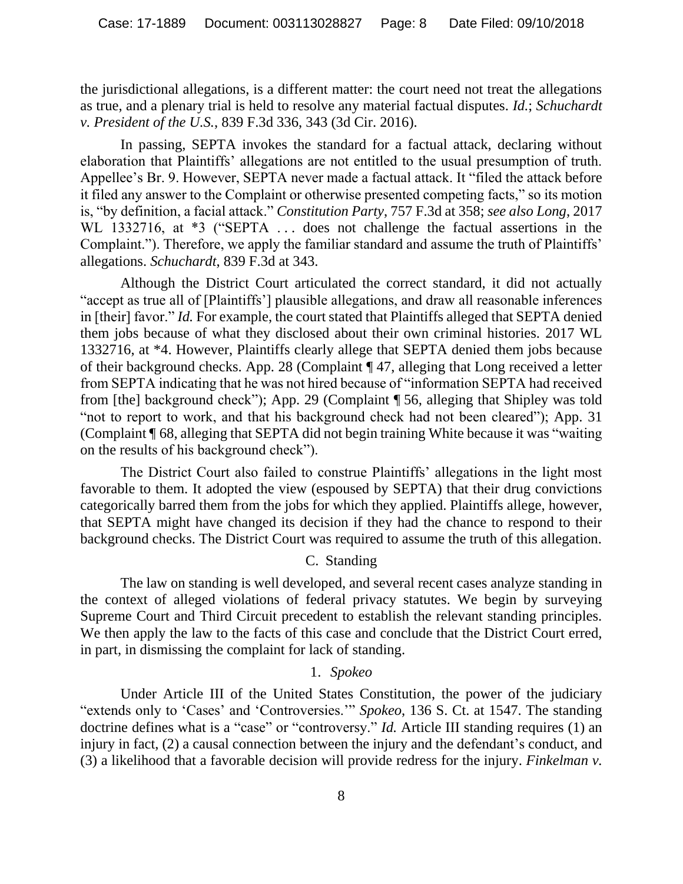the jurisdictional allegations, is a different matter: the court need not treat the allegations as true, and a plenary trial is held to resolve any material factual disputes. *Id.*; *Schuchardt v. President of the U.S.*, 839 F.3d 336, 343 (3d Cir. 2016).

In passing, SEPTA invokes the standard for a factual attack, declaring without elaboration that Plaintiffs' allegations are not entitled to the usual presumption of truth. Appellee's Br. 9. However, SEPTA never made a factual attack. It "filed the attack before it filed any answer to the Complaint or otherwise presented competing facts," so its motion is, "by definition, a facial attack." *Constitution Party*, 757 F.3d at 358; *see also Long*, 2017 WL 1332716, at \*3 ("SEPTA ... does not challenge the factual assertions in the Complaint."). Therefore, we apply the familiar standard and assume the truth of Plaintiffs' allegations. *Schuchardt*, 839 F.3d at 343.

Although the District Court articulated the correct standard, it did not actually "accept as true all of [Plaintiffs'] plausible allegations, and draw all reasonable inferences in [their] favor." *Id.* For example, the court stated that Plaintiffs alleged that SEPTA denied them jobs because of what they disclosed about their own criminal histories. 2017 WL 1332716, at \*4. However, Plaintiffs clearly allege that SEPTA denied them jobs because of their background checks. App. 28 (Complaint ¶ 47, alleging that Long received a letter from SEPTA indicating that he was not hired because of "information SEPTA had received from [the] background check"); App. 29 (Complaint ¶ 56, alleging that Shipley was told "not to report to work, and that his background check had not been cleared"); App. 31 (Complaint ¶ 68, alleging that SEPTA did not begin training White because it was "waiting on the results of his background check").

The District Court also failed to construe Plaintiffs' allegations in the light most favorable to them. It adopted the view (espoused by SEPTA) that their drug convictions categorically barred them from the jobs for which they applied. Plaintiffs allege, however, that SEPTA might have changed its decision if they had the chance to respond to their background checks. The District Court was required to assume the truth of this allegation.

## C. Standing

The law on standing is well developed, and several recent cases analyze standing in the context of alleged violations of federal privacy statutes. We begin by surveying Supreme Court and Third Circuit precedent to establish the relevant standing principles. We then apply the law to the facts of this case and conclude that the District Court erred, in part, in dismissing the complaint for lack of standing.

## 1. *Spokeo*

Under Article III of the United States Constitution, the power of the judiciary "extends only to 'Cases' and 'Controversies.'" *Spokeo*, 136 S. Ct. at 1547. The standing doctrine defines what is a "case" or "controversy." *Id.* Article III standing requires (1) an injury in fact, (2) a causal connection between the injury and the defendant's conduct, and (3) a likelihood that a favorable decision will provide redress for the injury. *Finkelman v.*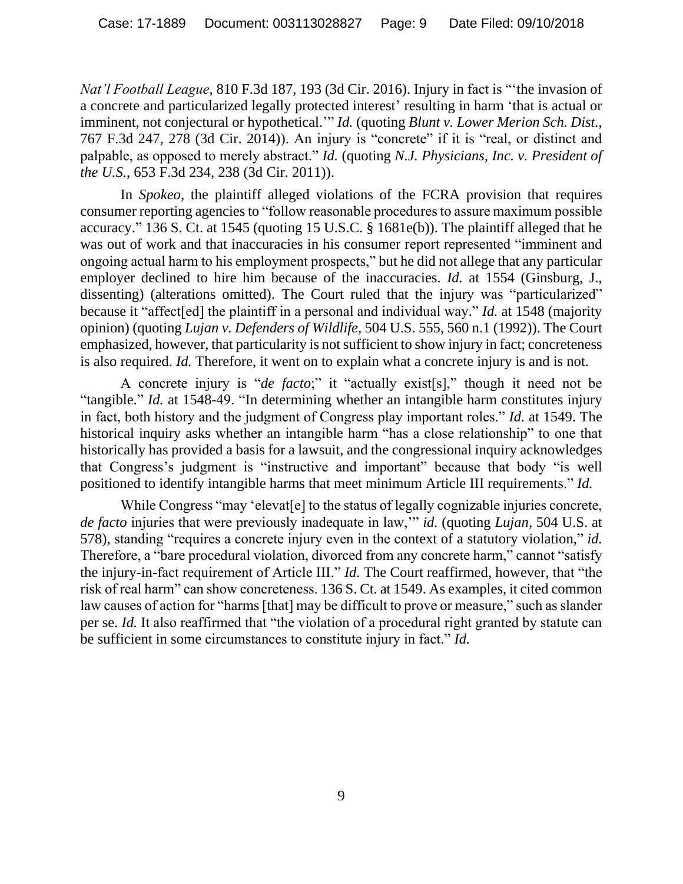*Nat'l Football League*, 810 F.3d 187, 193 (3d Cir. 2016). Injury in fact is "'the invasion of a concrete and particularized legally protected interest' resulting in harm 'that is actual or imminent, not conjectural or hypothetical.'" *Id.* (quoting *Blunt v. Lower Merion Sch. Dist.*, 767 F.3d 247, 278 (3d Cir. 2014)). An injury is "concrete" if it is "real, or distinct and palpable, as opposed to merely abstract." *Id.* (quoting *N.J. Physicians, Inc. v. President of the U.S.*, 653 F.3d 234, 238 (3d Cir. 2011)).

In *Spokeo*, the plaintiff alleged violations of the FCRA provision that requires consumer reporting agencies to "follow reasonable procedures to assure maximum possible accuracy." 136 S. Ct. at 1545 (quoting 15 U.S.C. § 1681e(b)). The plaintiff alleged that he was out of work and that inaccuracies in his consumer report represented "imminent and ongoing actual harm to his employment prospects," but he did not allege that any particular employer declined to hire him because of the inaccuracies. *Id.* at 1554 (Ginsburg, J., dissenting) (alterations omitted). The Court ruled that the injury was "particularized" because it "affect[ed] the plaintiff in a personal and individual way." *Id.* at 1548 (majority opinion) (quoting *Lujan v. Defenders of Wildlife*, 504 U.S. 555, 560 n.1 (1992)). The Court emphasized, however, that particularity is not sufficient to show injury in fact; concreteness is also required. *Id.* Therefore, it went on to explain what a concrete injury is and is not.

A concrete injury is "*de facto*;" it "actually exist[s]," though it need not be "tangible." *Id.* at 1548-49. "In determining whether an intangible harm constitutes injury in fact, both history and the judgment of Congress play important roles." *Id.* at 1549. The historical inquiry asks whether an intangible harm "has a close relationship" to one that historically has provided a basis for a lawsuit, and the congressional inquiry acknowledges that Congress's judgment is "instructive and important" because that body "is well positioned to identify intangible harms that meet minimum Article III requirements." *Id.*

While Congress "may 'elevat[e] to the status of legally cognizable injuries concrete, *de facto* injuries that were previously inadequate in law,'" *id.* (quoting *Lujan*, 504 U.S. at 578), standing "requires a concrete injury even in the context of a statutory violation," *id.* Therefore, a "bare procedural violation, divorced from any concrete harm," cannot "satisfy the injury-in-fact requirement of Article III." *Id.* The Court reaffirmed, however, that "the risk of real harm" can show concreteness. 136 S. Ct. at 1549. As examples, it cited common law causes of action for "harms [that] may be difficult to prove or measure," such as slander per se. *Id.* It also reaffirmed that "the violation of a procedural right granted by statute can be sufficient in some circumstances to constitute injury in fact." *Id.*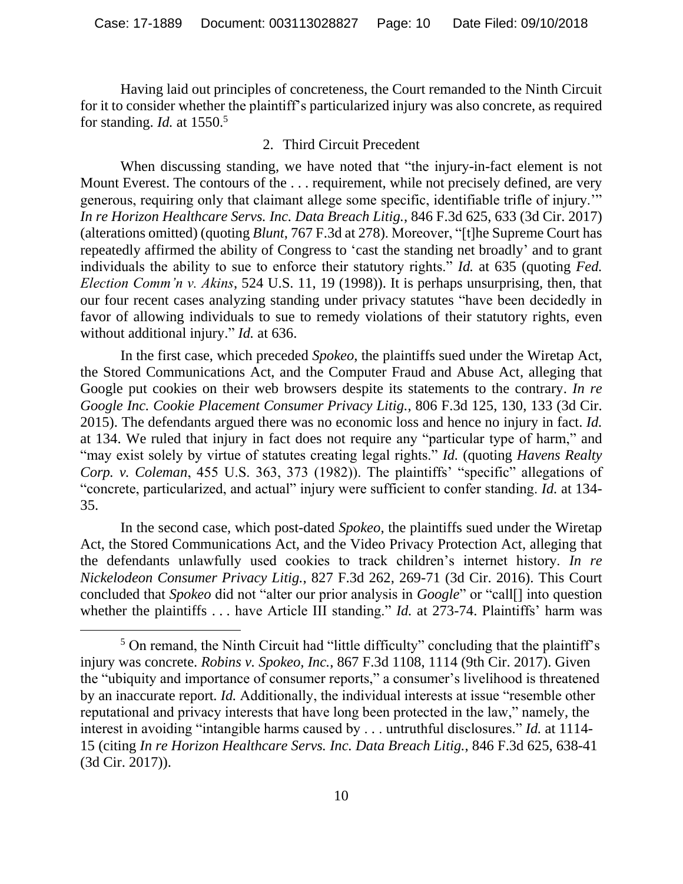Having laid out principles of concreteness, the Court remanded to the Ninth Circuit for it to consider whether the plaintiff's particularized injury was also concrete, as required for standing. *Id.* at 1550.<sup>5</sup>

### 2. Third Circuit Precedent

When discussing standing, we have noted that "the injury-in-fact element is not Mount Everest. The contours of the . . . requirement, while not precisely defined, are very generous, requiring only that claimant allege some specific, identifiable trifle of injury.'" *In re Horizon Healthcare Servs. Inc. Data Breach Litig.*, 846 F.3d 625, 633 (3d Cir. 2017) (alterations omitted) (quoting *Blunt*, 767 F.3d at 278). Moreover, "[t]he Supreme Court has repeatedly affirmed the ability of Congress to 'cast the standing net broadly' and to grant individuals the ability to sue to enforce their statutory rights." *Id.* at 635 (quoting *Fed. Election Comm'n v. Akins*, 524 U.S. 11, 19 (1998)). It is perhaps unsurprising, then, that our four recent cases analyzing standing under privacy statutes "have been decidedly in favor of allowing individuals to sue to remedy violations of their statutory rights, even without additional injury." *Id.* at 636.

In the first case, which preceded *Spokeo*, the plaintiffs sued under the Wiretap Act, the Stored Communications Act, and the Computer Fraud and Abuse Act, alleging that Google put cookies on their web browsers despite its statements to the contrary. *In re Google Inc. Cookie Placement Consumer Privacy Litig.*, 806 F.3d 125, 130, 133 (3d Cir. 2015). The defendants argued there was no economic loss and hence no injury in fact. *Id.* at 134. We ruled that injury in fact does not require any "particular type of harm," and "may exist solely by virtue of statutes creating legal rights." *Id.* (quoting *Havens Realty Corp. v. Coleman*, 455 U.S. 363, 373 (1982)). The plaintiffs' "specific" allegations of "concrete, particularized, and actual" injury were sufficient to confer standing. *Id.* at 134- 35.

In the second case, which post-dated *Spokeo*, the plaintiffs sued under the Wiretap Act, the Stored Communications Act, and the Video Privacy Protection Act, alleging that the defendants unlawfully used cookies to track children's internet history. *In re Nickelodeon Consumer Privacy Litig.*, 827 F.3d 262, 269-71 (3d Cir. 2016). This Court concluded that *Spokeo* did not "alter our prior analysis in *Google*" or "call[] into question whether the plaintiffs . . . have Article III standing." *Id.* at 273-74. Plaintiffs' harm was

<sup>5</sup> On remand, the Ninth Circuit had "little difficulty" concluding that the plaintiff's injury was concrete. *Robins v. Spokeo, Inc.*, 867 F.3d 1108, 1114 (9th Cir. 2017). Given the "ubiquity and importance of consumer reports," a consumer's livelihood is threatened by an inaccurate report. *Id.* Additionally, the individual interests at issue "resemble other reputational and privacy interests that have long been protected in the law," namely, the interest in avoiding "intangible harms caused by . . . untruthful disclosures." *Id.* at 1114- 15 (citing *In re Horizon Healthcare Servs. Inc. Data Breach Litig.*, 846 F.3d 625, 638-41 (3d Cir. 2017)).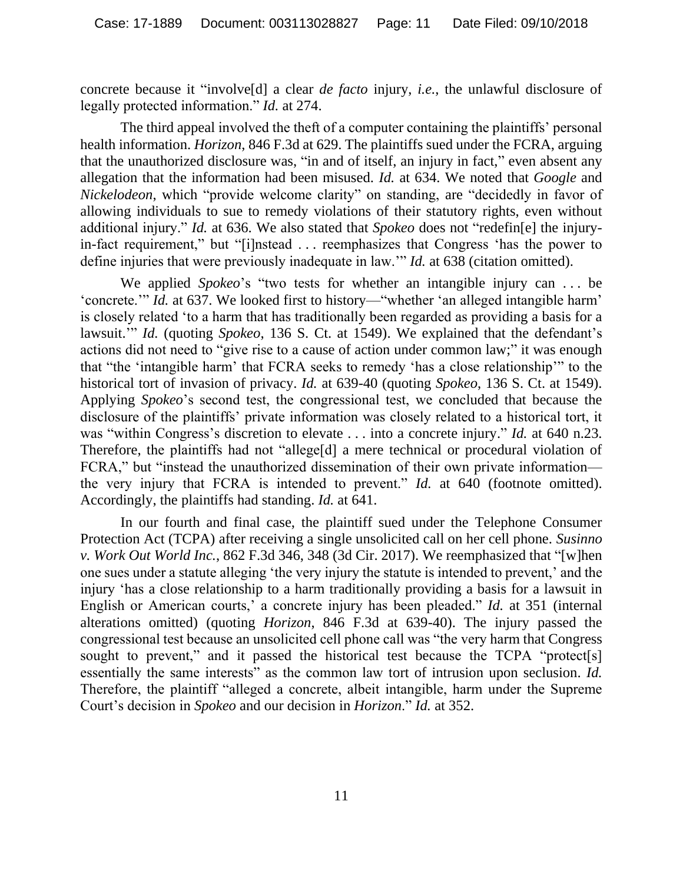concrete because it "involve[d] a clear *de facto* injury, *i.e.*, the unlawful disclosure of legally protected information." *Id.* at 274.

The third appeal involved the theft of a computer containing the plaintiffs' personal health information. *Horizon*, 846 F.3d at 629. The plaintiffs sued under the FCRA, arguing that the unauthorized disclosure was, "in and of itself, an injury in fact," even absent any allegation that the information had been misused. *Id.* at 634. We noted that *Google* and *Nickelodeon*, which "provide welcome clarity" on standing, are "decidedly in favor of allowing individuals to sue to remedy violations of their statutory rights, even without additional injury." *Id.* at 636. We also stated that *Spokeo* does not "redefin[e] the injuryin-fact requirement," but "[i]nstead . . . reemphasizes that Congress 'has the power to define injuries that were previously inadequate in law.'" *Id.* at 638 (citation omitted).

We applied *Spokeo*'s "two tests for whether an intangible injury can . . . be 'concrete.'" *Id.* at 637. We looked first to history—"whether 'an alleged intangible harm' is closely related 'to a harm that has traditionally been regarded as providing a basis for a lawsuit.'" *Id.* (quoting *Spokeo*, 136 S. Ct. at 1549). We explained that the defendant's actions did not need to "give rise to a cause of action under common law;" it was enough that "the 'intangible harm' that FCRA seeks to remedy 'has a close relationship'" to the historical tort of invasion of privacy. *Id.* at 639-40 (quoting *Spokeo*, 136 S. Ct. at 1549). Applying *Spokeo*'s second test, the congressional test, we concluded that because the disclosure of the plaintiffs' private information was closely related to a historical tort, it was "within Congress's discretion to elevate . . . into a concrete injury." *Id.* at 640 n.23. Therefore, the plaintiffs had not "allege[d] a mere technical or procedural violation of FCRA," but "instead the unauthorized dissemination of their own private information the very injury that FCRA is intended to prevent." *Id.* at 640 (footnote omitted). Accordingly, the plaintiffs had standing. *Id.* at 641.

In our fourth and final case, the plaintiff sued under the Telephone Consumer Protection Act (TCPA) after receiving a single unsolicited call on her cell phone. *Susinno v. Work Out World Inc.*, 862 F.3d 346, 348 (3d Cir. 2017). We reemphasized that "[w]hen one sues under a statute alleging 'the very injury the statute is intended to prevent,' and the injury 'has a close relationship to a harm traditionally providing a basis for a lawsuit in English or American courts,' a concrete injury has been pleaded." *Id.* at 351 (internal alterations omitted) (quoting *Horizon*, 846 F.3d at 639-40). The injury passed the congressional test because an unsolicited cell phone call was "the very harm that Congress sought to prevent," and it passed the historical test because the TCPA "protect[s] essentially the same interests" as the common law tort of intrusion upon seclusion. *Id.* Therefore, the plaintiff "alleged a concrete, albeit intangible, harm under the Supreme Court's decision in *Spokeo* and our decision in *Horizon*." *Id.* at 352.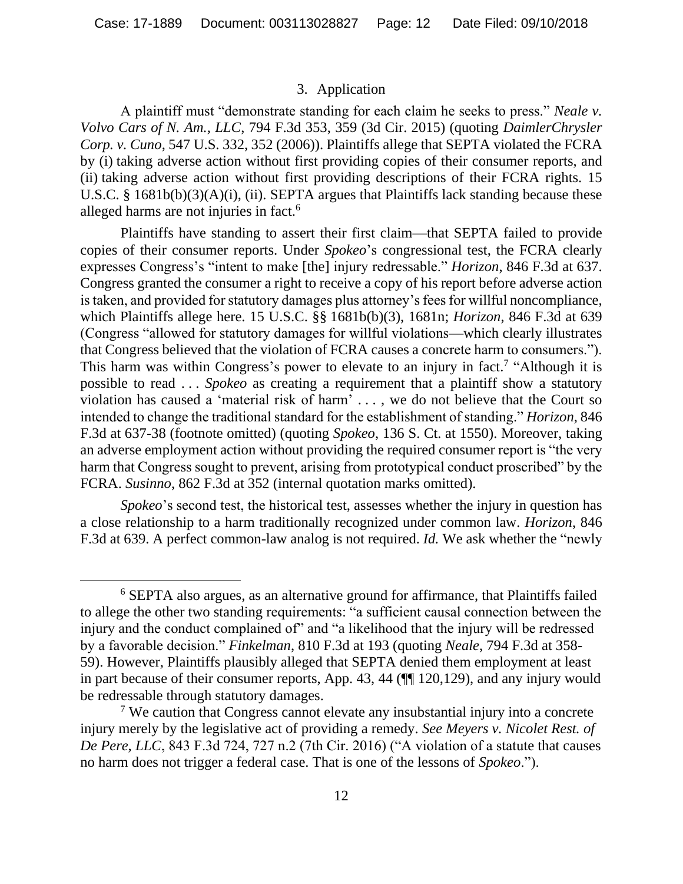#### 3. Application

A plaintiff must "demonstrate standing for each claim he seeks to press." *Neale v. Volvo Cars of N. Am., LLC*, 794 F.3d 353, 359 (3d Cir. 2015) (quoting *DaimlerChrysler Corp. v. Cuno*, 547 U.S. 332, 352 (2006)). Plaintiffs allege that SEPTA violated the FCRA by (i) taking adverse action without first providing copies of their consumer reports, and (ii) taking adverse action without first providing descriptions of their FCRA rights. 15 U.S.C. § 1681b(b)(3)(A)(i), (ii). SEPTA argues that Plaintiffs lack standing because these alleged harms are not injuries in fact.<sup>6</sup>

Plaintiffs have standing to assert their first claim—that SEPTA failed to provide copies of their consumer reports. Under *Spokeo*'s congressional test, the FCRA clearly expresses Congress's "intent to make [the] injury redressable." *Horizon*, 846 F.3d at 637. Congress granted the consumer a right to receive a copy of his report before adverse action is taken, and provided for statutory damages plus attorney's fees for willful noncompliance, which Plaintiffs allege here. 15 U.S.C. §§ 1681b(b)(3), 1681n; *Horizon*, 846 F.3d at 639 (Congress "allowed for statutory damages for willful violations—which clearly illustrates that Congress believed that the violation of FCRA causes a concrete harm to consumers."). This harm was within Congress's power to elevate to an injury in fact.<sup>7</sup> "Although it is possible to read . . . *Spokeo* as creating a requirement that a plaintiff show a statutory violation has caused a 'material risk of harm' . . . , we do not believe that the Court so intended to change the traditional standard for the establishment of standing." *Horizon*, 846 F.3d at 637-38 (footnote omitted) (quoting *Spokeo*, 136 S. Ct. at 1550). Moreover, taking an adverse employment action without providing the required consumer report is "the very harm that Congress sought to prevent, arising from prototypical conduct proscribed" by the FCRA. *Susinno*, 862 F.3d at 352 (internal quotation marks omitted).

*Spokeo*'s second test, the historical test, assesses whether the injury in question has a close relationship to a harm traditionally recognized under common law. *Horizon*, 846 F.3d at 639. A perfect common-law analog is not required. *Id.* We ask whether the "newly

<sup>6</sup> SEPTA also argues, as an alternative ground for affirmance, that Plaintiffs failed to allege the other two standing requirements: "a sufficient causal connection between the injury and the conduct complained of" and "a likelihood that the injury will be redressed by a favorable decision." *Finkelman*, 810 F.3d at 193 (quoting *Neale*, 794 F.3d at 358- 59). However, Plaintiffs plausibly alleged that SEPTA denied them employment at least in part because of their consumer reports, App. 43, 44 (¶¶ 120,129), and any injury would be redressable through statutory damages.

<sup>&</sup>lt;sup>7</sup> We caution that Congress cannot elevate any insubstantial injury into a concrete injury merely by the legislative act of providing a remedy. *See Meyers v. Nicolet Rest. of De Pere, LLC*, 843 F.3d 724, 727 n.2 (7th Cir. 2016) ("A violation of a statute that causes no harm does not trigger a federal case. That is one of the lessons of *Spokeo*.").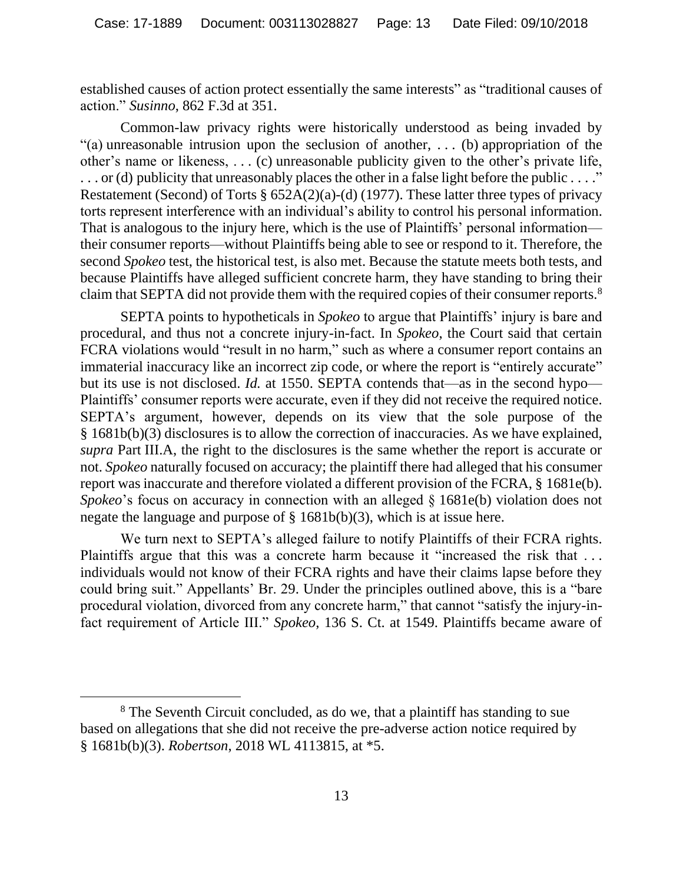established causes of action protect essentially the same interests" as "traditional causes of action." *Susinno*, 862 F.3d at 351.

Common-law privacy rights were historically understood as being invaded by "(a) unreasonable intrusion upon the seclusion of another, . . . (b) appropriation of the other's name or likeness, . . . (c) unreasonable publicity given to the other's private life, . . . or (d) publicity that unreasonably places the other in a false light before the public . . . ." Restatement (Second) of Torts § 652A(2)(a)-(d) (1977). These latter three types of privacy torts represent interference with an individual's ability to control his personal information. That is analogous to the injury here, which is the use of Plaintiffs' personal information their consumer reports—without Plaintiffs being able to see or respond to it. Therefore, the second *Spokeo* test, the historical test, is also met. Because the statute meets both tests, and because Plaintiffs have alleged sufficient concrete harm, they have standing to bring their claim that SEPTA did not provide them with the required copies of their consumer reports.<sup>8</sup>

SEPTA points to hypotheticals in *Spokeo* to argue that Plaintiffs' injury is bare and procedural, and thus not a concrete injury-in-fact. In *Spokeo*, the Court said that certain FCRA violations would "result in no harm," such as where a consumer report contains an immaterial inaccuracy like an incorrect zip code, or where the report is "entirely accurate" but its use is not disclosed. *Id.* at 1550. SEPTA contends that—as in the second hypo— Plaintiffs' consumer reports were accurate, even if they did not receive the required notice. SEPTA's argument, however, depends on its view that the sole purpose of the § 1681b(b)(3) disclosures is to allow the correction of inaccuracies. As we have explained, *supra* Part III.A, the right to the disclosures is the same whether the report is accurate or not. *Spokeo* naturally focused on accuracy; the plaintiff there had alleged that his consumer report was inaccurate and therefore violated a different provision of the FCRA, § 1681e(b). *Spokeo*'s focus on accuracy in connection with an alleged  $\S$  1681e(b) violation does not negate the language and purpose of § 1681b(b)(3), which is at issue here.

We turn next to SEPTA's alleged failure to notify Plaintiffs of their FCRA rights. Plaintiffs argue that this was a concrete harm because it "increased the risk that ... individuals would not know of their FCRA rights and have their claims lapse before they could bring suit." Appellants' Br. 29. Under the principles outlined above, this is a "bare procedural violation, divorced from any concrete harm," that cannot "satisfy the injury-infact requirement of Article III." *Spokeo*, 136 S. Ct. at 1549. Plaintiffs became aware of

<sup>&</sup>lt;sup>8</sup> The Seventh Circuit concluded, as do we, that a plaintiff has standing to sue based on allegations that she did not receive the pre-adverse action notice required by § 1681b(b)(3). *Robertson*, 2018 WL 4113815, at \*5.